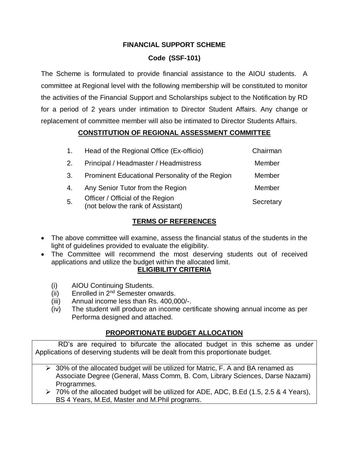## **FINANCIAL SUPPORT SCHEME**

# **Code (SSF-101)**

The Scheme is formulated to provide financial assistance to the AIOU students. A committee at Regional level with the following membership will be constituted to monitor the activities of the Financial Support and Scholarships subject to the Notification by RD for a period of 2 years under intimation to Director Student Affairs. Any change or replacement of committee member will also be intimated to Director Students Affairs.

## **CONSTITUTION OF REGIONAL ASSESSMENT COMMITTEE**

| $\mathbf{1}$ . | Head of the Regional Office (Ex-officio)                              | Chairman  |
|----------------|-----------------------------------------------------------------------|-----------|
| 2.             | Principal / Headmaster / Headmistress                                 | Member    |
| 3.             | Prominent Educational Personality of the Region                       | Member    |
| 4.             | Any Senior Tutor from the Region                                      | Member    |
| 5.             | Officer / Official of the Region<br>(not below the rank of Assistant) | Secretary |

## **TERMS OF REFERENCES**

- The above committee will examine, assess the financial status of the students in the light of guidelines provided to evaluate the eligibility.
- The Committee will recommend the most deserving students out of received applications and utilize the budget within the allocated limit.

### **ELIGIBILITY CRITERIA**

- (i) AIOU Continuing Students.
- $(ii)$  Enrolled in  $2<sup>nd</sup>$  Semester onwards.
- (iii) Annual income less than Rs. 400,000/-.
- (iv) The student will produce an income certificate showing annual income as per Performa designed and attached.

# **PROPORTIONATE BUDGET ALLOCATION**

 RD's are required to bifurcate the allocated budget in this scheme as under Applications of deserving students will be dealt from this proportionate budget.

- $\geq 30\%$  of the allocated budget will be utilized for Matric, F. A and BA renamed as Associate Degree (General, Mass Comm, B. Com, Library Sciences, Darse Nazami) Programmes.
- 70% of the allocated budget will be utilized for ADE, ADC, B.Ed (1.5, 2.5 & 4 Years), BS 4 Years, M.Ed, Master and M.Phil programs.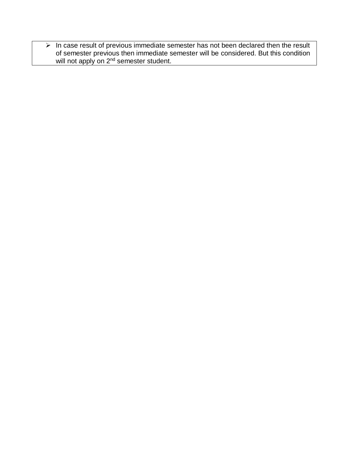$\triangleright$  In case result of previous immediate semester has not been declared then the result of semester previous then immediate semester will be considered. But this condition will not apply on 2<sup>nd</sup> semester student.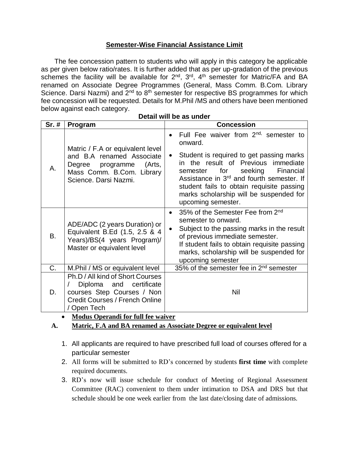## **Semester-Wise Financial Assistance Limit**

 The fee concession pattern to students who will apply in this category be applicable as per given below ratio/rates. It is further added that as per up-gradation of the previous schemes the facility will be available for  $2^{nd}$ ,  $3^{rd}$ ,  $4^{th}$  semester for Matric/FA and BA renamed on Associate Degree Programmes (General, Mass Comm. B.Com. Library Science. Darsi Nazmi) and  $2^{nd}$  to  $8^{th}$  semester for respective BS programmes for which fee concession will be requested. Details for M.Phil /MS and others have been mentioned below against each category.

|  |  |  | Detail will be as under |
|--|--|--|-------------------------|
|--|--|--|-------------------------|

| $Sr.$ #   | Program                                                                                                                                                 | <b>Concession</b>                                                                                                                                                                                                                                                                                                                                                 |
|-----------|---------------------------------------------------------------------------------------------------------------------------------------------------------|-------------------------------------------------------------------------------------------------------------------------------------------------------------------------------------------------------------------------------------------------------------------------------------------------------------------------------------------------------------------|
| А.        | Matric / F.A or equivalent level<br>and B.A renamed Associate<br>(Arts,<br>Degree programme<br>Mass Comm. B.Com. Library<br>Science. Darsi Nazmi.       | Full Fee waiver from 2 <sup>nd,</sup> semester to<br>onward.<br>Student is required to get passing marks<br>in the result of Previous immediate<br>seeking<br>for<br>Financial<br>semester<br>Assistance in 3 <sup>rd</sup> and fourth semester. If<br>student fails to obtain requisite passing<br>marks scholarship will be suspended for<br>upcoming semester. |
| <b>B.</b> | ADE/ADC (2 years Duration) or<br>Equivalent B.Ed (1.5, 2.5 & 4<br>Years)/BS(4 years Program)/<br>Master or equivalent level                             | 35% of the Semester Fee from 2 <sup>nd</sup><br>$\bullet$<br>semester to onward.<br>Subject to the passing marks in the result<br>of previous immediate semester.<br>If student fails to obtain requisite passing<br>marks, scholarship will be suspended for<br>upcoming semester                                                                                |
| C.        | M. Phil / MS or equivalent level                                                                                                                        | 35% of the semester fee in 2 <sup>nd</sup> semester                                                                                                                                                                                                                                                                                                               |
| D.        | Ph.D / All kind of Short Courses<br>Diploma<br>and<br>certificate<br>courses Step Courses / Non<br><b>Credit Courses / French Online</b><br>/ Open Tech | Nil                                                                                                                                                                                                                                                                                                                                                               |

**Modus Operandi for full fee waiver**

- **A. Matric, F.A and BA renamed as Associate Degree or equivalent level**
	- 1. All applicants are required to have prescribed full load of courses offered for a particular semester
	- 2. All forms will be submitted to RD's concerned by students **first time** with complete required documents.
	- 3. RD's now will issue schedule for conduct of Meeting of Regional Assessment Committee (RAC) convenient to them under intimation to DSA and DRS but that schedule should be one week earlier from the last date/closing date of admissions.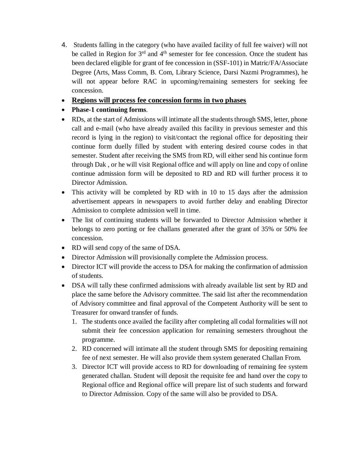- 4. Students falling in the category (who have availed facility of full fee waiver) will not be called in Region for 3<sup>rd</sup> and 4<sup>th</sup> semester for fee concession. Once the student has been declared eligible for grant of fee concession in (SSF-101) in Matric/FA/Associate Degree (Arts, Mass Comm, B. Com, Library Science, Darsi Nazmi Programmes), he will not appear before RAC in upcoming/remaining semesters for seeking fee concession.
- **Regions will process fee concession forms in two phases**
- **Phase-1 continuing forms**.
- RDs, at the start of Admissions will intimate all the students through SMS, letter, phone call and e-mail (who have already availed this facility in previous semester and this record is lying in the region) to visit/contact the regional office for depositing their continue form duelly filled by student with entering desired course codes in that semester. Student after receiving the SMS from RD, will either send his continue form through Dak , or he will visit Regional office and will apply on line and copy of online continue admission form will be deposited to RD and RD will further process it to Director Admission.
- This activity will be completed by RD with in 10 to 15 days after the admission advertisement appears in newspapers to avoid further delay and enabling Director Admission to complete admission well in time.
- The list of continuing students will be forwarded to Director Admission whether it belongs to zero porting or fee challans generated after the grant of 35% or 50% fee concession.
- RD will send copy of the same of DSA.
- Director Admission will provisionally complete the Admission process.
- Director ICT will provide the access to DSA for making the confirmation of admission of students.
- DSA will tally these confirmed admissions with already available list sent by RD and place the same before the Advisory committee. The said list after the recommendation of Advisory committee and final approval of the Competent Authority will be sent to Treasurer for onward transfer of funds.
	- 1. The students once availed the facility after completing all codal formalities will not submit their fee concession application for remaining semesters throughout the programme.
	- 2. RD concerned will intimate all the student through SMS for depositing remaining fee of next semester. He will also provide them system generated Challan From.
	- 3. Director ICT will provide access to RD for downloading of remaining fee system generated challan. Student will deposit the requisite fee and hand over the copy to Regional office and Regional office will prepare list of such students and forward to Director Admission. Copy of the same will also be provided to DSA.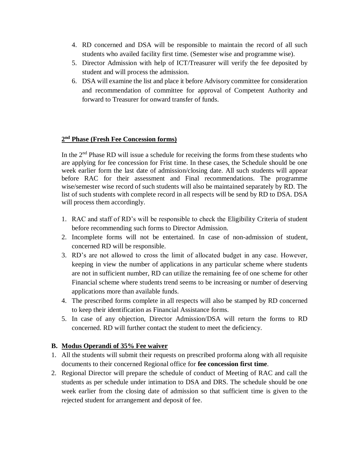- 4. RD concerned and DSA will be responsible to maintain the record of all such students who availed facility first time. (Semester wise and programme wise).
- 5. Director Admission with help of ICT/Treasurer will verify the fee deposited by student and will process the admission.
- 6. DSA will examine the list and place it before Advisory committee for consideration and recommendation of committee for approval of Competent Authority and forward to Treasurer for onward transfer of funds.

### **2 nd Phase (Fresh Fee Concession forms)**

In the  $2<sup>nd</sup>$  Phase RD will issue a schedule for receiving the forms from these students who are applying for fee concession for Frist time. In these cases, the Schedule should be one week earlier form the last date of admission/closing date. All such students will appear before RAC for their assessment and Final recommendations. The programme wise/semester wise record of such students will also be maintained separately by RD. The list of such students with complete record in all respects will be send by RD to DSA. DSA will process them accordingly.

- 1. RAC and staff of RD's will be responsible to check the Eligibility Criteria of student before recommending such forms to Director Admission.
- 2. Incomplete forms will not be entertained. In case of non-admission of student, concerned RD will be responsible.
- 3. RD's are not allowed to cross the limit of allocated budget in any case. However, keeping in view the number of applications in any particular scheme where students are not in sufficient number, RD can utilize the remaining fee of one scheme for other Financial scheme where students trend seems to be increasing or number of deserving applications more than available funds.
- 4. The prescribed forms complete in all respects will also be stamped by RD concerned to keep their identification as Financial Assistance forms.
- 5. In case of any objection, Director Admission/DSA will return the forms to RD concerned. RD will further contact the student to meet the deficiency.

### **B. Modus Operandi of 35% Fee waiver**

- 1. All the students will submit their requests on prescribed proforma along with all requisite documents to their concerned Regional office for **fee concession first time**.
- 2. Regional Director will prepare the schedule of conduct of Meeting of RAC and call the students as per schedule under intimation to DSA and DRS. The schedule should be one week earlier from the closing date of admission so that sufficient time is given to the rejected student for arrangement and deposit of fee.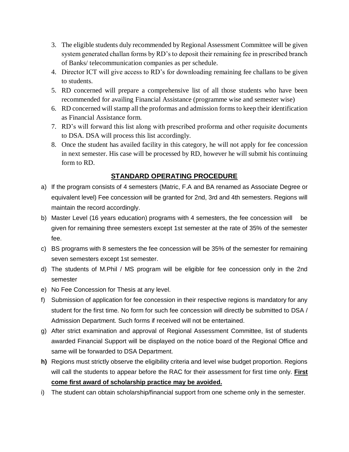- 3. The eligible students duly recommended by Regional Assessment Committee will be given system generated challan forms by RD's to deposit their remaining fee in prescribed branch of Banks/ telecommunication companies as per schedule.
- 4. Director ICT will give access to RD's for downloading remaining fee challans to be given to students.
- 5. RD concerned will prepare a comprehensive list of all those students who have been recommended for availing Financial Assistance (programme wise and semester wise)
- 6. RD concerned will stamp all the proformas and admission forms to keep their identification as Financial Assistance form.
- 7. RD's will forward this list along with prescribed proforma and other requisite documents to DSA. DSA will process this list accordingly.
- 8. Once the student has availed facility in this category, he will not apply for fee concession in next semester. His case will be processed by RD, however he will submit his continuing form to RD.

# **STANDARD OPERATING PROCEDURE**

- a) If the program consists of 4 semesters (Matric, F.A and BA renamed as Associate Degree or equivalent level) Fee concession will be granted for 2nd, 3rd and 4th semesters. Regions will maintain the record accordingly.
- b) Master Level (16 years education) programs with 4 semesters, the fee concession will be given for remaining three semesters except 1st semester at the rate of 35% of the semester fee.
- c) BS programs with 8 semesters the fee concession will be 35% of the semester for remaining seven semesters except 1st semester.
- d) The students of M.Phil / MS program will be eligible for fee concession only in the 2nd semester
- e) No Fee Concession for Thesis at any level.
- f) Submission of application for fee concession in their respective regions is mandatory for any student for the first time. No form for such fee concession will directly be submitted to DSA / Admission Department. Such forms if received will not be entertained.
- g) After strict examination and approval of Regional Assessment Committee, list of students awarded Financial Support will be displayed on the notice board of the Regional Office and same will be forwarded to DSA Department.
- **h)** Regions must strictly observe the eligibility criteria and level wise budget proportion. Regions will call the students to appear before the RAC for their assessment for first time only. **First come first award of scholarship practice may be avoided.**
- i) The student can obtain scholarship/financial support from one scheme only in the semester.